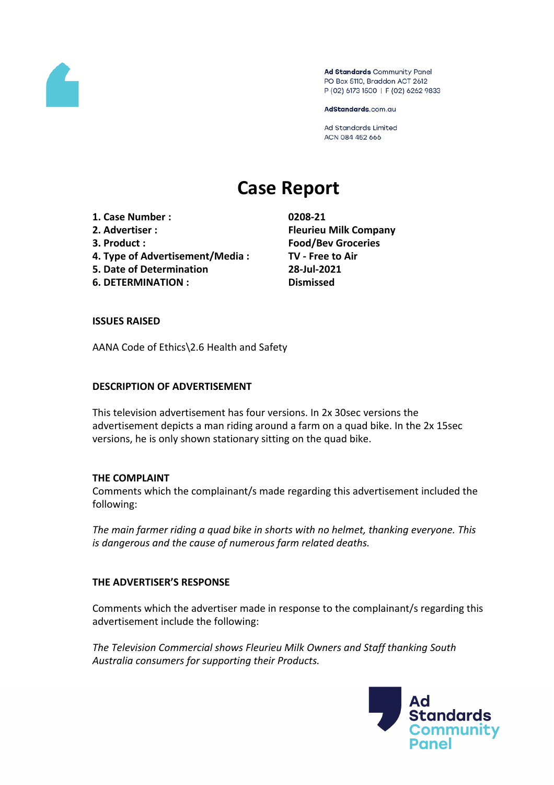

Ad Standards Community Panel PO Box 5110, Braddon ACT 2612 P (02) 6173 1500 | F (02) 6262 9833

AdStandards.com.au

**Ad Standards Limited** ACN 084 452 666

# **Case Report**

- **1. Case Number : 0208-21**
- 
- 
- **4. Type of Advertisement/Media : TV - Free to Air**
- **5. Date of Determination 28-Jul-2021**
- **6. DETERMINATION : Dismissed**

**2. Advertiser : Fleurieu Milk Company 3. Product : Food/Bev Groceries**

## **ISSUES RAISED**

AANA Code of Ethics\2.6 Health and Safety

### **DESCRIPTION OF ADVERTISEMENT**

This television advertisement has four versions. In 2x 30sec versions the advertisement depicts a man riding around a farm on a quad bike. In the 2x 15sec versions, he is only shown stationary sitting on the quad bike.

#### **THE COMPLAINT**

Comments which the complainant/s made regarding this advertisement included the following:

*The main farmer riding a quad bike in shorts with no helmet, thanking everyone. This is dangerous and the cause of numerous farm related deaths.*

## **THE ADVERTISER'S RESPONSE**

Comments which the advertiser made in response to the complainant/s regarding this advertisement include the following:

*The Television Commercial shows Fleurieu Milk Owners and Staff thanking South Australia consumers for supporting their Products.*

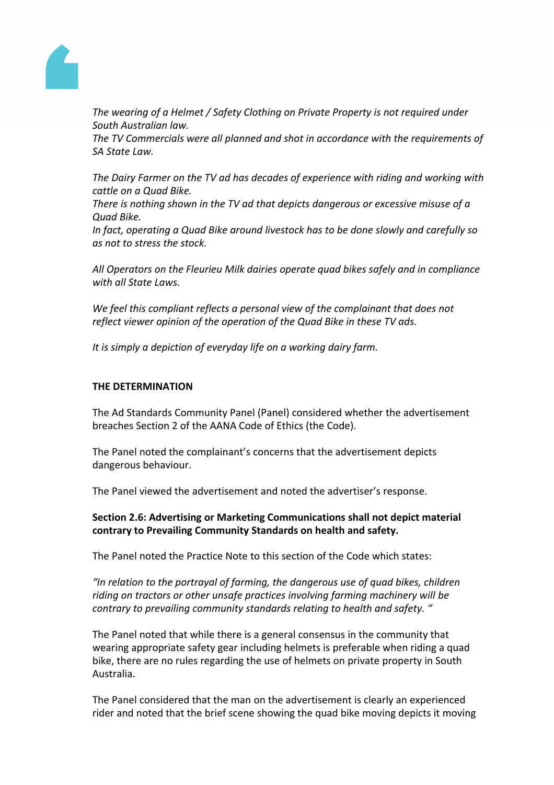

*The wearing of a Helmet / Safety Clothing on Private Property is not required under South Australian law.*

*The TV Commercials were all planned and shot in accordance with the requirements of SA State Law.*

*The Dairy Farmer on the TV ad has decades of experience with riding and working with cattle on a Quad Bike.*

*There is nothing shown in the TV ad that depicts dangerous or excessive misuse of a Quad Bike.*

*In fact, operating a Quad Bike around livestock has to be done slowly and carefully so as not to stress the stock.*

*All Operators on the Fleurieu Milk dairies operate quad bikes safely and in compliance with all State Laws.*

*We feel this compliant reflects a personal view of the complainant that does not reflect viewer opinion of the operation of the Quad Bike in these TV ads.*

*It is simply a depiction of everyday life on a working dairy farm.*

### **THE DETERMINATION**

The Ad Standards Community Panel (Panel) considered whether the advertisement breaches Section 2 of the AANA Code of Ethics (the Code).

The Panel noted the complainant's concerns that the advertisement depicts dangerous behaviour.

The Panel viewed the advertisement and noted the advertiser's response.

**Section 2.6: Advertising or Marketing Communications shall not depict material contrary to Prevailing Community Standards on health and safety.**

The Panel noted the Practice Note to this section of the Code which states:

*"In relation to the portrayal of farming, the dangerous use of quad bikes, children riding on tractors or other unsafe practices involving farming machinery will be contrary to prevailing community standards relating to health and safety. "*

The Panel noted that while there is a general consensus in the community that wearing appropriate safety gear including helmets is preferable when riding a quad bike, there are no rules regarding the use of helmets on private property in South Australia.

The Panel considered that the man on the advertisement is clearly an experienced rider and noted that the brief scene showing the quad bike moving depicts it moving